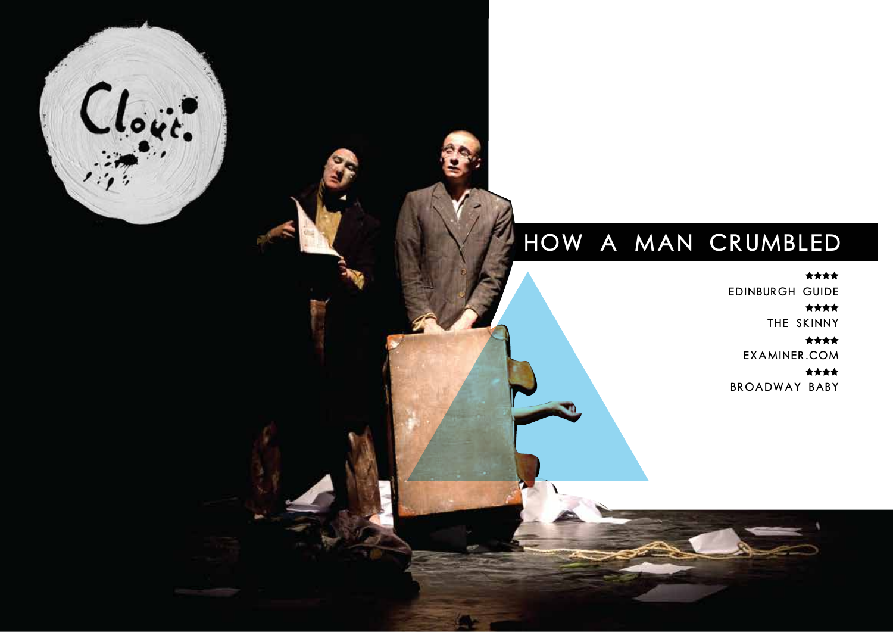#### HOW A MAN CRUMBLED

Clout.

\*\*\*\*

Edinburgh Guide

\*\*\*\* The Skinny

\*\*\*\* Examiner.com

大大大大 Broadway Baby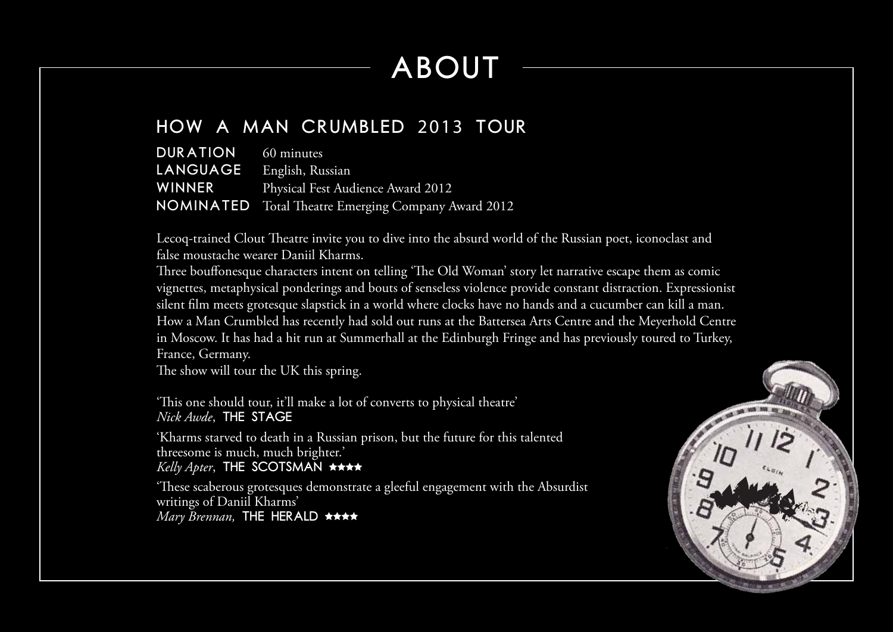## ABOUT

#### How a Man Crumbled 2013 TOUR

| <b>DURATION</b> 60 minutes |                                                            |
|----------------------------|------------------------------------------------------------|
| LANGUAGE English, Russian  |                                                            |
|                            | <b>WINNER</b> Physical Fest Audience Award 2012            |
|                            | <b>NOMINATED</b> Total Theatre Emerging Company Award 2012 |

Lecoq-trained Clout Theatre invite you to dive into the absurd world of the Russian poet, iconoclast and false moustache wearer Daniil Kharms.

Three bouffonesque characters intent on telling 'The Old Woman' story let narrative escape them as comic vignettes, metaphysical ponderings and bouts of senseless violence provide constant distraction. Expressionist silent film meets grotesque slapstick in a world where clocks have no hands and a cucumber can kill a man. How a Man Crumbled has recently had sold out runs at the Battersea Arts Centre and the Meyerhold Centre in Moscow. It has had a hit run at Summerhall at the Edinburgh Fringe and has previously toured to Turkey, France, Germany.

The show will tour the UK this spring.

'This one should tour, it'll make a lot of converts to physical theatre' *Nick Awde*, The Stage

'Kharms starved to death in a Russian prison, but the future for this talented threesome is much, much brighter.' *Kelly Apter*, THE SCOTSMAN  $\star \star \star \star$ 

'These scaberous grotesques demonstrate a gleeful engagement with the Absurdist writings of Daniil Kharms' *Mary Brennan*, THE HERALD \*\*\*\*

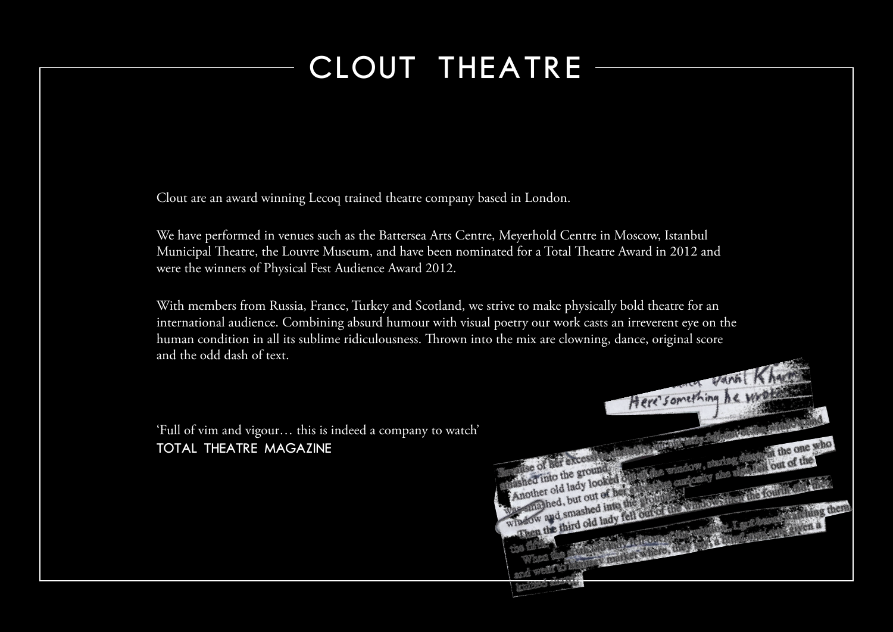### CLOUT THEATRE

Clout are an award winning Lecoq trained theatre company based in London.

We have performed in venues such as the Battersea Arts Centre, Meyerhold Centre in Moscow, Istanbul Municipal Theatre, the Louvre Museum, and have been nominated for a Total Theatre Award in 2012 and were the winners of Physical Fest Audience Award 2012.

With members from Russia, France, Turkey and Scotland, we strive to make physically bold theatre for an international audience. Combining absurd humour with visual poetry our work casts an irreverent eye on the human condition in all its sublime ridiculousness. Thrown into the mix are clowning, dance, original score and the odd dash of text.

'Full of vim and vigour… this is indeed a company to watch' Total Theatre Magazine

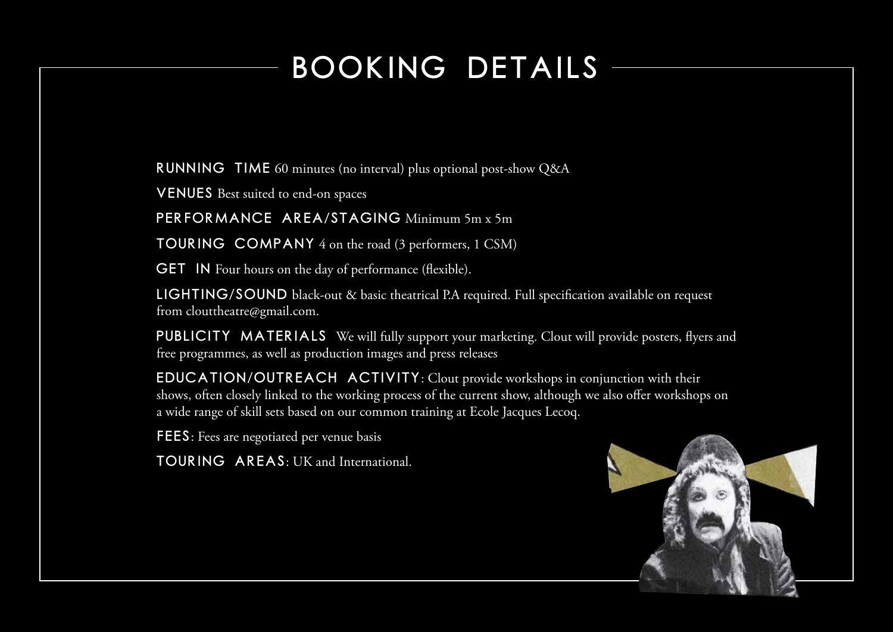### BOOKING DETAILS

RUNNING TIME 60 minutes (no interval) plus optional post-show Q&A

VENUES Best suited to end-on spaces

PERFORMANCE AREA/STAGING Minimum 5m x 5m

TOURING COMPANY 4 on the road (3 performers, 1 CSM)

**GET** IN Four hours on the day of performance (flexible).

LIGHTING/SOUND black-out & basic theatrical P.A required. Full specification available on request from clouttheatre@gmail.com.

PUBLICITY MATERIALS We will fully support your marketing. Clout will provide posters, flyers and free programmes, as well as production images and press releases

EDUCATION/OUTREACH ACTIVITY: Clout provide workshops in conjunction with their shows, often closely linked to the working process of the current show, although we also offer workshops on a wide range of skill sets based on our common training at Ecole Jacques Lecoq.

FEES: Fees are negotiated per venue basis

TOURING AREAS: UK and International.